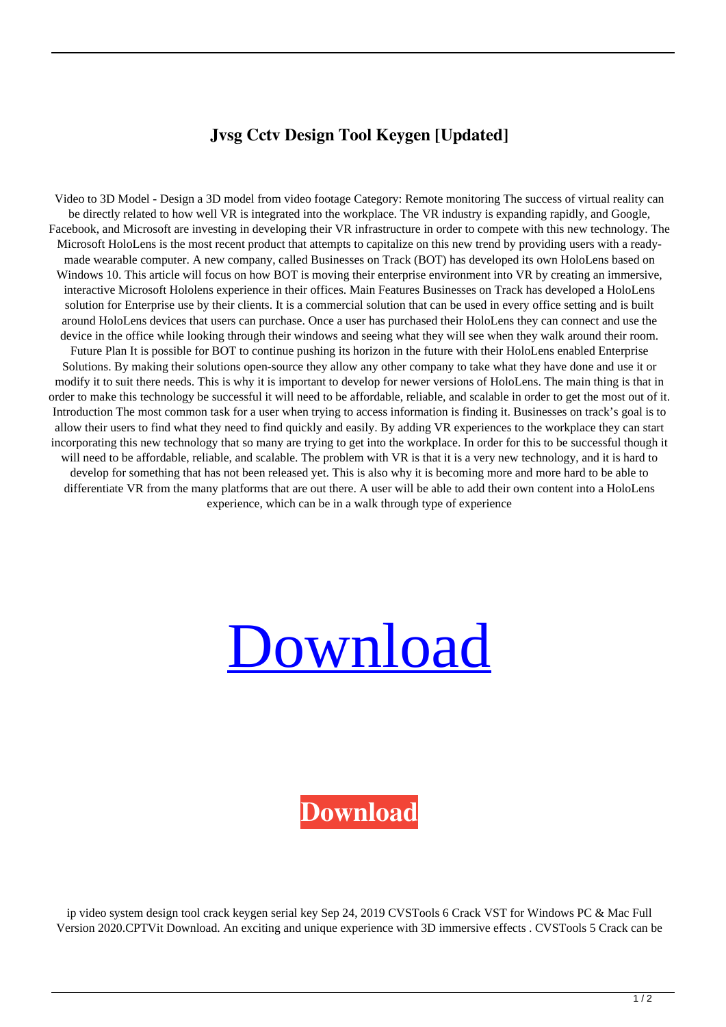## **Jvsg Cctv Design Tool Keygen [Updated]**

Video to 3D Model - Design a 3D model from video footage Category: Remote monitoring The success of virtual reality can be directly related to how well VR is integrated into the workplace. The VR industry is expanding rapidly, and Google, Facebook, and Microsoft are investing in developing their VR infrastructure in order to compete with this new technology. The Microsoft HoloLens is the most recent product that attempts to capitalize on this new trend by providing users with a readymade wearable computer. A new company, called Businesses on Track (BOT) has developed its own HoloLens based on Windows 10. This article will focus on how BOT is moving their enterprise environment into VR by creating an immersive, interactive Microsoft Hololens experience in their offices. Main Features Businesses on Track has developed a HoloLens solution for Enterprise use by their clients. It is a commercial solution that can be used in every office setting and is built around HoloLens devices that users can purchase. Once a user has purchased their HoloLens they can connect and use the device in the office while looking through their windows and seeing what they will see when they walk around their room. Future Plan It is possible for BOT to continue pushing its horizon in the future with their HoloLens enabled Enterprise Solutions. By making their solutions open-source they allow any other company to take what they have done and use it or modify it to suit there needs. This is why it is important to develop for newer versions of HoloLens. The main thing is that in order to make this technology be successful it will need to be affordable, reliable, and scalable in order to get the most out of it. Introduction The most common task for a user when trying to access information is finding it. Businesses on track's goal is to allow their users to find what they need to find quickly and easily. By adding VR experiences to the workplace they can start incorporating this new technology that so many are trying to get into the workplace. In order for this to be successful though it will need to be affordable, reliable, and scalable. The problem with VR is that it is a very new technology, and it is hard to develop for something that has not been released yet. This is also why it is becoming more and more hard to be able to differentiate VR from the many platforms that are out there. A user will be able to add their own content into a HoloLens experience, which can be in a walk through type of experience

## [Download](https://byltly.com/2kzpfc)

## **[Download](https://byltly.com/2kzpfc)**

ip video system design tool crack keygen serial key Sep 24, 2019 CVSTools 6 Crack VST for Windows PC & Mac Full Version 2020.CPTVit Download. An exciting and unique experience with 3D immersive effects . CVSTools 5 Crack can be